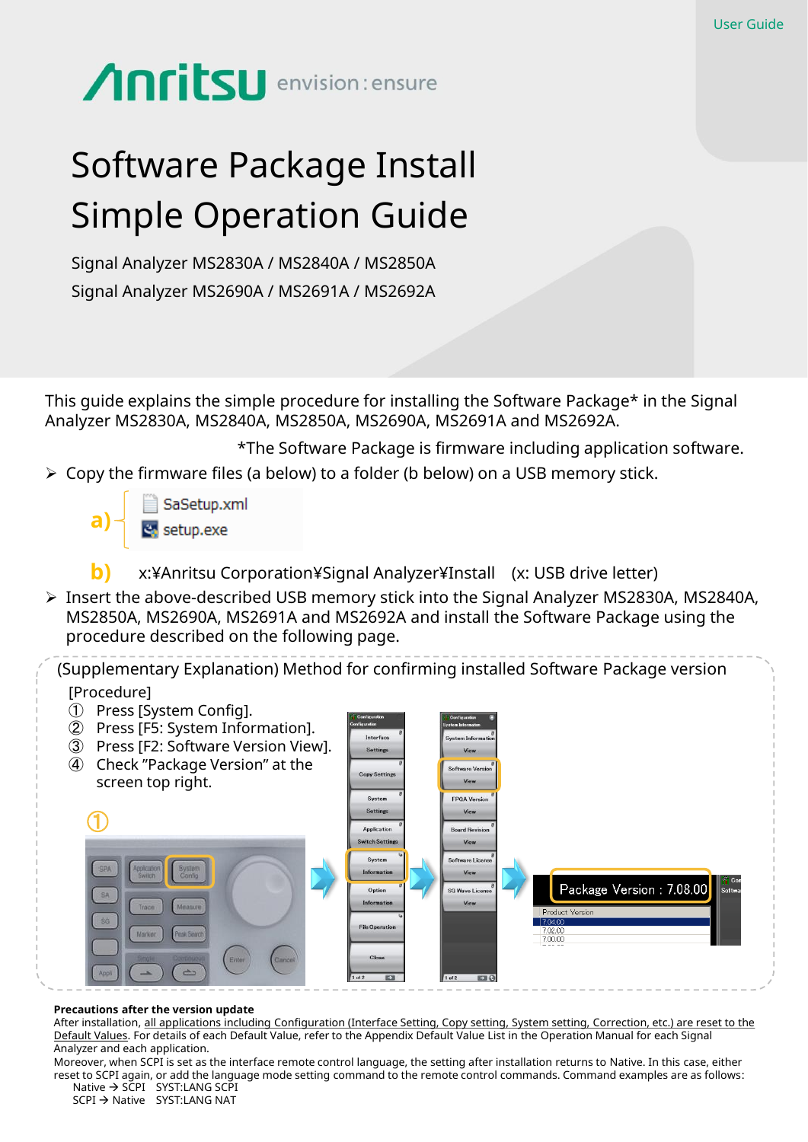## **Anritsu** envision: ensure

## Software Package Install Simple Operation Guide

Signal Analyzer MS2830A / MS2840A / MS2850A Signal Analyzer MS2690A / MS2691A / MS2692A

This guide explains the simple procedure for installing the Software Package\* in the Signal Analyzer MS2830A, MS2840A, MS2850A, MS2690A, MS2691A and MS2692A.

 Copy the firmware files (a below) to a folder (b below) on a USB memory stick. \*The Software Package is firmware including application software.

SaSetup.xml **a)**  $\overline{\ddot{\mathbf{c}}_i}$  setup.exe

- x:¥Anritsu Corporation¥Signal Analyzer¥Install (x: USB drive letter) **b)**
- Insert the above-described USB memory stick into the Signal Analyzer MS2830A, MS2840A, MS2850A, MS2690A, MS2691A and MS2692A and install the Software Package using the procedure described on the following page.

(Supplementary Explanation) Method for confirming installed Software Package version [Procedure]

- ① Press [System Config].
- ② Press [F5: System Information]. ③ Press [F2: Software Version View]. ④ Check "Package Version" at the **Copy Setting** screen top right. System Settings  $\bigoplus$ Annlication ch Setti Package Version: 7.08.00 **SG Wave Lice File Operat**

## **Precautions after the version update**

After installation, all applications including Configuration (Interface Setting, Copy setting, System setting, Correction, etc.) are reset to the Default Values. For details of each Default Value, refer to the Appendix Default Value List in the Operation Manual for each Signal Analyzer and each application.

Moreover, when SCPI is set as the interface remote control language, the setting after installation returns to Native. In this case, either reset to SCPI again, or add the language mode setting command to the remote control commands. Command examples are as follows: Native  $\rightarrow$  SCPI SYST:LANG SCPI

 $SCPI \rightarrow$  Native  $SYST:$ LANG NAT